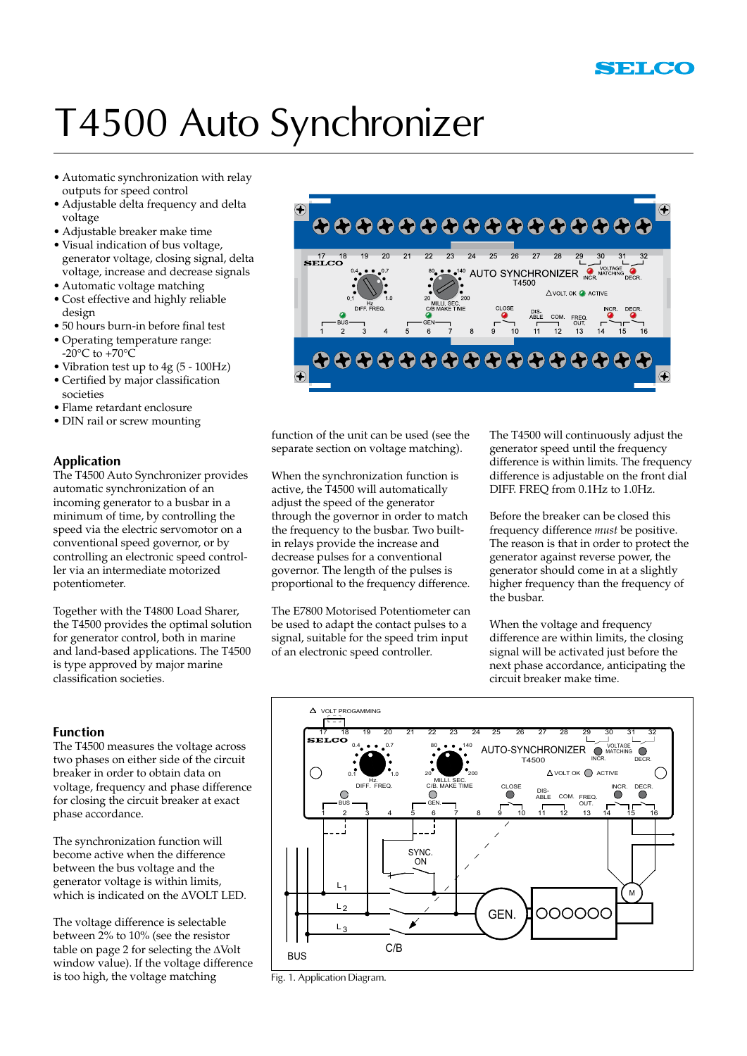## T4500 Auto Synchronizer

- • Automatic synchronization with relay outputs for speed control
- • Adjustable delta frequency and delta voltage
- • Adjustable breaker make time
- Visual indication of bus voltage, generator voltage, closing signal, delta voltage, increase and decrease signals
- Automatic voltage matching
- • Cost effective and highly reliable design
- • 50 hours burn-in before final test
- • Operating temperature range: -20 $\rm{^{\circ}C}$  to +70 $\rm{^{\circ}C}$
- • Vibration test up to 4g (5 100Hz)
- • Certified by major classification societies
- • Flame retardant enclosure
- DIN rail or screw mounting

## **Application**

The T4500 Auto Synchronizer provides automatic synchronization of an incoming generator to a busbar in a minimum of time, by controlling the speed via the electric servomotor on a conventional speed governor, or by controlling an electronic speed controller via an intermediate motorized potentiometer.

Together with the T4800 Load Sharer, the T4500 provides the optimal solution for generator control, both in marine and land-based applications. The T4500 is type approved by major marine classification societies.

### **Function**

The T4500 measures the voltage across two phases on either side of the circuit breaker in order to obtain data on voltage, frequency and phase difference for closing the circuit breaker at exact phase accordance.

The synchronization function will become active when the difference between the bus voltage and the generator voltage is within limits, which is indicated on the AVOLT LED.

The voltage difference is selectable between 2% to 10% (see the resistor table on page 2 for selecting the  $\Delta$ Volt window value). If the voltage difference is too high, the voltage matching



function of the unit can be used (see the separate section on voltage matching).

When the synchronization function is active, the T4500 will automatically adjust the speed of the generator through the governor in order to match the frequency to the busbar. Two builtin relays provide the increase and decrease pulses for a conventional governor. The length of the pulses is proportional to the frequency difference.

The E7800 Motorised Potentiometer can be used to adapt the contact pulses to a signal, suitable for the speed trim input of an electronic speed controller.

The T4500 will continuously adjust the generator speed until the frequency difference is within limits. The frequency difference is adjustable on the front dial DIFF. FREQ from 0.1Hz to 1.0Hz.

Before the breaker can be closed this frequency difference *must* be positive. The reason is that in order to protect the generator against reverse power, the generator should come in at a slightly higher frequency than the frequency of the busbar.

When the voltage and frequency difference are within limits, the closing signal will be activated just before the next phase accordance, anticipating the circuit breaker make time.



Fig. 1. Application Diagram.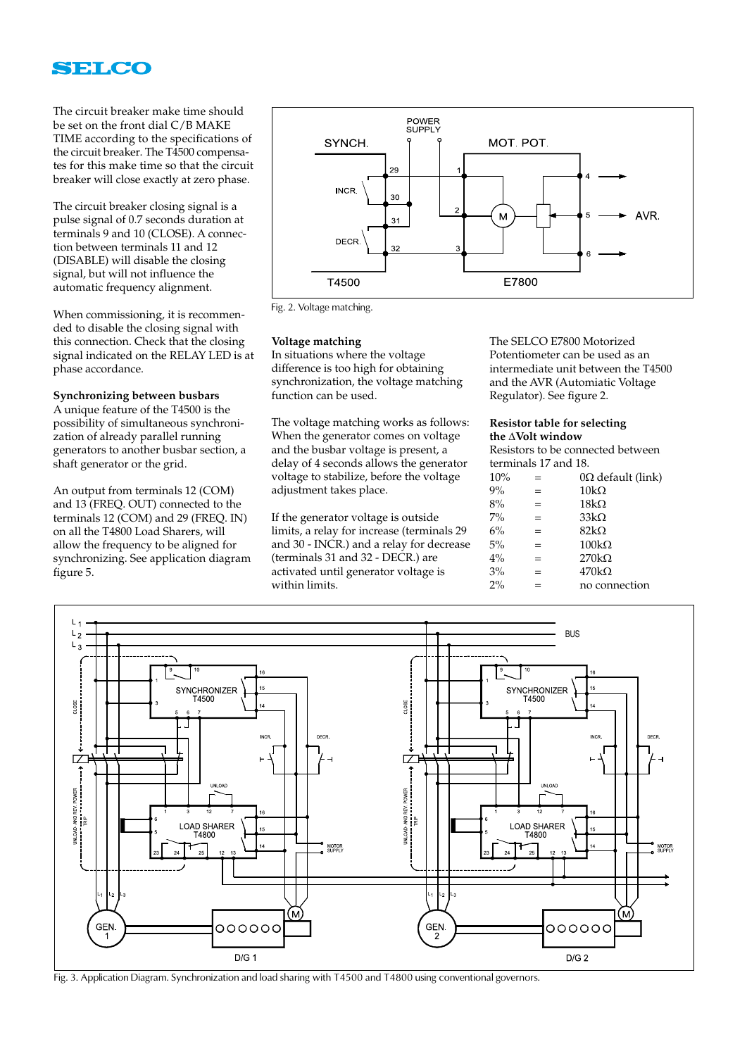

The circuit breaker make time should be set on the front dial C/B MAKE TIME according to the specifications of the circuit breaker. The T4500 compensates for this make time so that the circuit breaker will close exactly at zero phase.

The circuit breaker closing signal is a pulse signal of 0.7 seconds duration at terminals 9 and 10 (CLOSE). A connection between terminals 11 and 12 (DISABLE) will disable the closing signal, but will not influence the automatic frequency alignment.

When commissioning, it is recommended to disable the closing signal with this connection. Check that the closing signal indicated on the RELAY LED is at phase accordance.

#### **Synchronizing between busbars**

A unique feature of the T4500 is the possibility of simultaneous synchronization of already parallel running generators to another busbar section, a shaft generator or the grid.

An output from terminals 12 (COM) and 13 (FREQ. OUT) connected to the terminals 12 (COM) and 29 (FREQ. IN) on all the T4800 Load Sharers, will allow the frequency to be aligned for synchronizing. See application diagram figure 5.



Fig. 2. Voltage matching.

#### **Voltage matching**

In situations where the voltage difference is too high for obtaining synchronization, the voltage matching function can be used.

The voltage matching works as follows: When the generator comes on voltage and the busbar voltage is present, a delay of 4 seconds allows the generator voltage to stabilize, before the voltage adjustment takes place.

If the generator voltage is outside limits, a relay for increase (terminals 29 and 30 - INCR.) and a relay for decrease (terminals 31 and 32 - DECR.) are activated until generator voltage is within limits.

The SELCO E7800 Motorized Potentiometer can be used as an intermediate unit between the T4500 and the AVR (Automiatic Voltage Regulator). See figure 2.

#### **Resistor table for selecting the AVolt window**

Resistors to be connected between terminals 17 and 18.

| 10%   | $=$ | $0\Omega$ default (link) |
|-------|-----|--------------------------|
| 9%    | $=$ | $10k\Omega$              |
| 8%    | $=$ | $18k\Omega$              |
| $7\%$ | $=$ | $33k\Omega$              |
| 6%    | $=$ | $82k\Omega$              |
| 5%    | $=$ | $100k\Omega$             |
| 4%    | $=$ | $270k\Omega$             |
| 3%    | $=$ | $470k\Omega$             |
| $2\%$ | $=$ | no connection            |
|       |     |                          |



Fig. 3. Application Diagram. Synchronization and load sharing with T4500 and T4800 using conventional governors.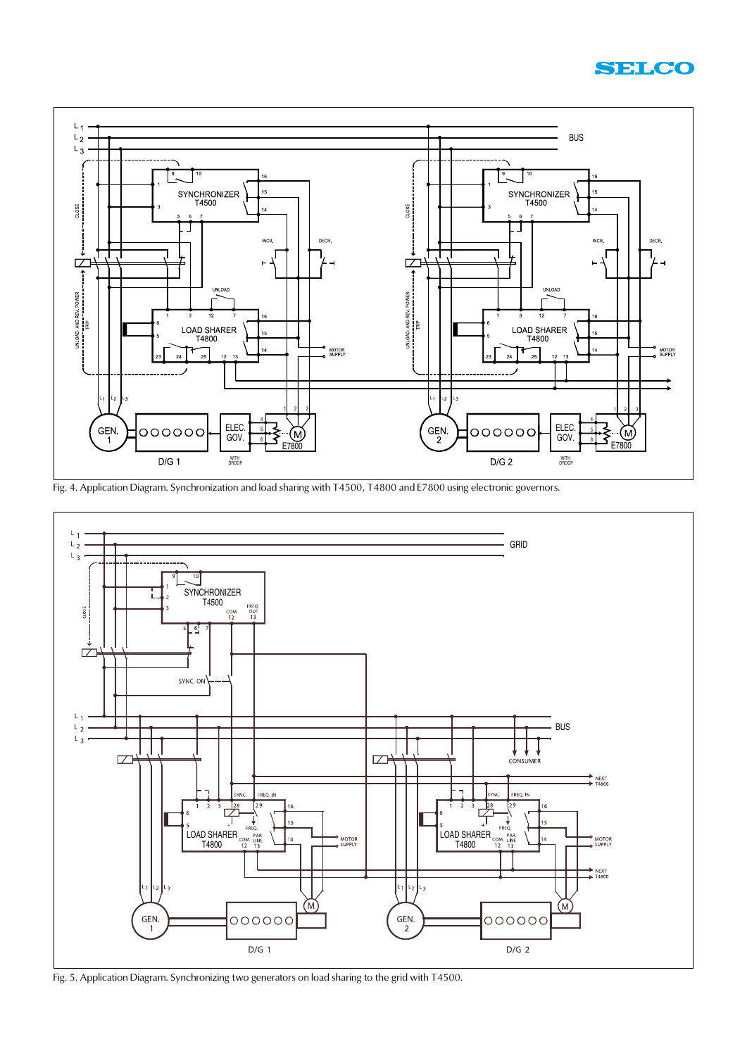



Fig. 4. Application Diagram. Synchronization and load sharing with T4500, T4800 and E7800 using electronic governors.



Fig. 5. Application Diagram. Synchronizing two generators on load sharing to the grid with T4500.